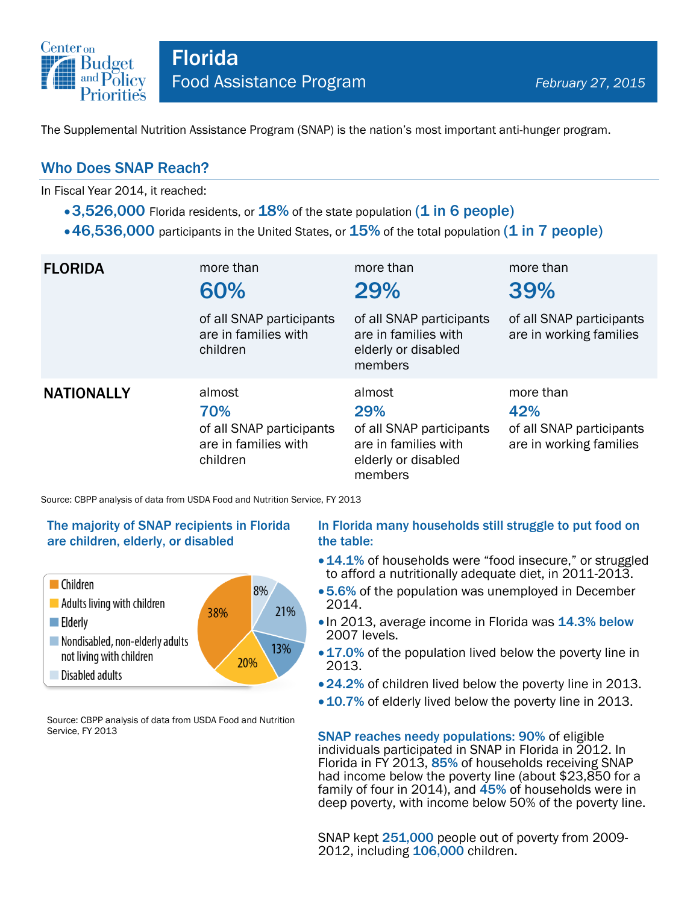

The Supplemental Nutrition Assistance Program (SNAP) is the nation's most important anti-hunger program.

# Who Does SNAP Reach?

In Fiscal Year 2014, it reached:

- $\cdot$  3,526,000 Florida residents, or 18% of the state population (1 in 6 people)
- $\cdot$  46,536,000 participants in the United States, or  $15\%$  of the total population (1 in 7 people)

| <b>FLORIDA</b>    | more than<br>60%<br>of all SNAP participants<br>are in families with<br>children | more than<br>29%<br>of all SNAP participants<br>are in families with<br>elderly or disabled<br>members | more than<br>39%<br>of all SNAP participants<br>are in working families |
|-------------------|----------------------------------------------------------------------------------|--------------------------------------------------------------------------------------------------------|-------------------------------------------------------------------------|
| <b>NATIONALLY</b> | almost<br>70%<br>of all SNAP participants<br>are in families with<br>children    | almost<br>29%<br>of all SNAP participants<br>are in families with<br>elderly or disabled<br>members    | more than<br>42%<br>of all SNAP participants<br>are in working families |

Source: CBPP analysis of data from USDA Food and Nutrition Service, FY 2013

#### The majority of SNAP recipients in Florida are children, elderly, or disabled



Source: CBPP analysis of data from USDA Food and Nutrition Service, FY 2013

#### In Florida many households still struggle to put food on the table:

- 14.1% of households were "food insecure," or struggled to afford a nutritionally adequate diet, in 2011-2013.
- 5.6% of the population was unemployed in December 2014.
- In 2013, average income in Florida was 14.3% below 2007 levels.
- 17.0% of the population lived below the poverty line in 2013.
- 24.2% of children lived below the poverty line in 2013.
- 10.7% of elderly lived below the poverty line in 2013.

SNAP reaches needy populations: 90% of eligible individuals participated in SNAP in Florida in 2012. In Florida in FY 2013, 85% of households receiving SNAP had income below the poverty line (about \$23,850 for a family of four in 2014), and 45% of households were in deep poverty, with income below 50% of the poverty line.

SNAP kept 251,000 people out of poverty from 2009- 2012, including 106,000 children.